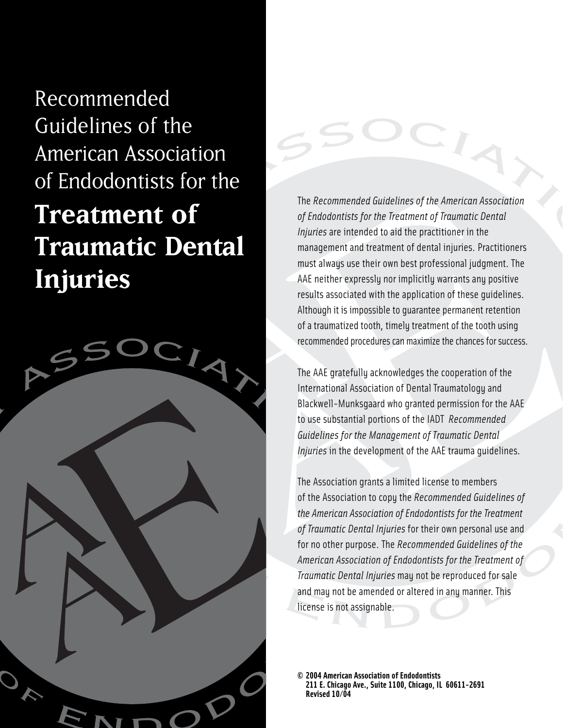Recommended Guidelines of the American Association of Endodontists for the **Treatment of Traumatic Dental Injuries**



The *Recommended Guidelines of the American Association of Endodontists for the Treatment of Traumatic Dental Injuries* are intended to aid the practitioner in the management and treatment of dental injuries. Practitioners must always use their own best professional judgment. The AAE neither expressly nor implicitly warrants any positive results associated with the application of these guidelines. Although it is impossible to guarantee permanent retention of a traumatized tooth, timely treatment of the tooth using recommended procedures can maximize the chances for success.

The AAE gratefully acknowledges the cooperation of the International Association of Dental Traumatology and Blackwell-Munksgaard who granted permission for the AAE to use substantial portions of the IADT *Recommended Guidelines for the Management of Traumatic Dental Injuries* in the development of the AAE trauma guidelines.

The Association grants a limited license to members of the Association to copy the *Recommended Guidelines of the American Association of Endodontists for the Treatment of Traumatic Dental Injuries* for their own personal use and for no other purpose. The *Recommended Guidelines of the American Association of Endodontists for the Treatment of Traumatic Dental Injuries* may not be reproduced for sale and may not be amended or altered in any manner. This license is not assignable.

**© 2004 American Association of Endodontists 211 E. Chicago Ave., Suite 1100, Chicago, IL 60611-2691 Revised 10/04**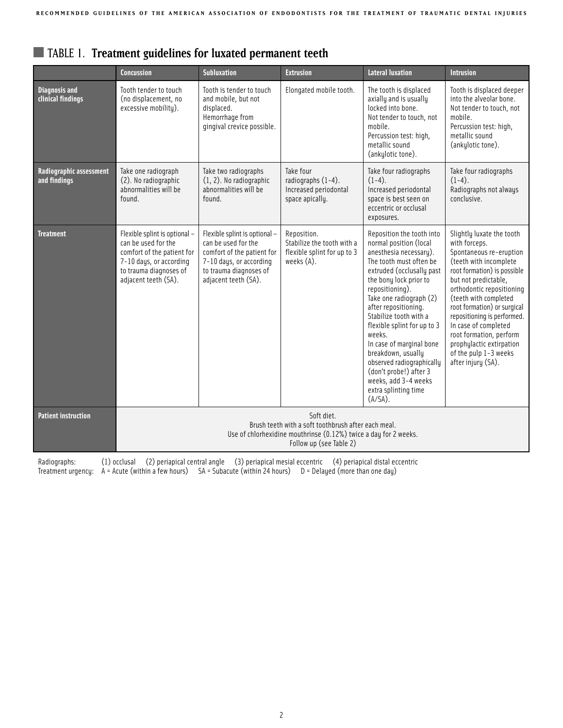|                                           | <b>Concussion</b>                                                                                                                                                | <b>Subluxation</b>                                                                                                                                              | <b>Extrusion</b>                                                                       | <b>Lateral luxation</b>                                                                                                                                                                                                                                                                                                                                                                                                                                                         | <b>Intrusion</b>                                                                                                                                                                                                                                                                                                                                                                                         |
|-------------------------------------------|------------------------------------------------------------------------------------------------------------------------------------------------------------------|-----------------------------------------------------------------------------------------------------------------------------------------------------------------|----------------------------------------------------------------------------------------|---------------------------------------------------------------------------------------------------------------------------------------------------------------------------------------------------------------------------------------------------------------------------------------------------------------------------------------------------------------------------------------------------------------------------------------------------------------------------------|----------------------------------------------------------------------------------------------------------------------------------------------------------------------------------------------------------------------------------------------------------------------------------------------------------------------------------------------------------------------------------------------------------|
| <b>Diagnosis and</b><br>clinical findings | Tooth tender to touch<br>(no displacement, no<br>excessive mobility).                                                                                            | Tooth is tender to touch<br>and mobile, but not<br>displaced.<br>Hemorrhage from<br>gingival crevice possible.                                                  | Elongated mobile tooth.                                                                | The tooth is displaced<br>axially and is usually<br>locked into bone.<br>Not tender to touch, not<br>mobile.<br>Percussion test: high,<br>metallic sound<br>(ankylotic tone).                                                                                                                                                                                                                                                                                                   | Tooth is displaced deeper<br>into the alveolar bone.<br>Not tender to touch, not<br>mobile.<br>Percussion test: high,<br>metallic sound<br>(ankylotic tone).                                                                                                                                                                                                                                             |
| Radiographic assessment<br>and findings   | Take one radiograph<br>(2). No radiographic<br>abnormalities will be<br>found.                                                                                   | Take two radiographs<br>(1, 2). No radiographic<br>abnormalities will be<br>found.                                                                              | Take four<br>radiographs $(1-4)$ .<br>Increased periodontal<br>space apically.         | Take four radiographs<br>$(1-4).$<br>Increased periodontal<br>space is best seen on<br>eccentric or occlusal<br>exposures.                                                                                                                                                                                                                                                                                                                                                      | Take four radiographs<br>$(1-4).$<br>Radiographs not always<br>conclusive.                                                                                                                                                                                                                                                                                                                               |
| <b>Treatment</b>                          | Flexible splint is optional -<br>can be used for the<br>comfort of the patient for<br>7-10 days, or according<br>to trauma diagnoses of<br>adjacent teeth (SA).  | Flexible splint is optional -<br>can be used for the<br>comfort of the patient for<br>7-10 days, or according<br>to trauma diagnoses of<br>adjacent teeth (SA). | Reposition.<br>Stabilize the tooth with a<br>flexible splint for up to 3<br>weeks (A). | Reposition the tooth into<br>normal position (local<br>anesthesia necessary).<br>The tooth must often be<br>extruded (occlusally past<br>the bony lock prior to<br>repositioning).<br>Take one radiograph (2)<br>after repositioning.<br>Stabilize tooth with a<br>flexible splint for up to 3<br>weeks.<br>In case of marginal bone<br>breakdown, usually<br>observed radiographically<br>(don't probe!) after 3<br>weeks, add 3-4 weeks<br>extra splinting time<br>$(A/SA)$ . | Slightly luxate the tooth<br>with forceps.<br>Spontaneous re-eruption<br>(teeth with incomplete<br>root formation) is possible<br>but not predictable,<br>orthodontic repositioning<br>(teeth with completed<br>root formation) or surgical<br>repositioning is performed.<br>In case of completed<br>root formation, perform<br>prophylactic extirpation<br>of the pulp 1-3 weeks<br>after injury (SA). |
| <b>Patient instruction</b>                | Soft diet.<br>Brush teeth with a soft toothbrush after each meal.<br>Use of chlorhexidine mouthrinse (0.12%) twice a day for 2 weeks.<br>Follow up (see Table 2) |                                                                                                                                                                 |                                                                                        |                                                                                                                                                                                                                                                                                                                                                                                                                                                                                 |                                                                                                                                                                                                                                                                                                                                                                                                          |

# ■ TABLE 1. **Treatment guidelines for luxated permanent teeth**

Radiographs: (1) occlusal (2) periapical central angle (3) periapical mesial eccentric (4) periapical distal eccentric Treatment urgency: A = Acute (within a few hours) SA = Subacute (within 24 hours) D = Delayed (more than one day)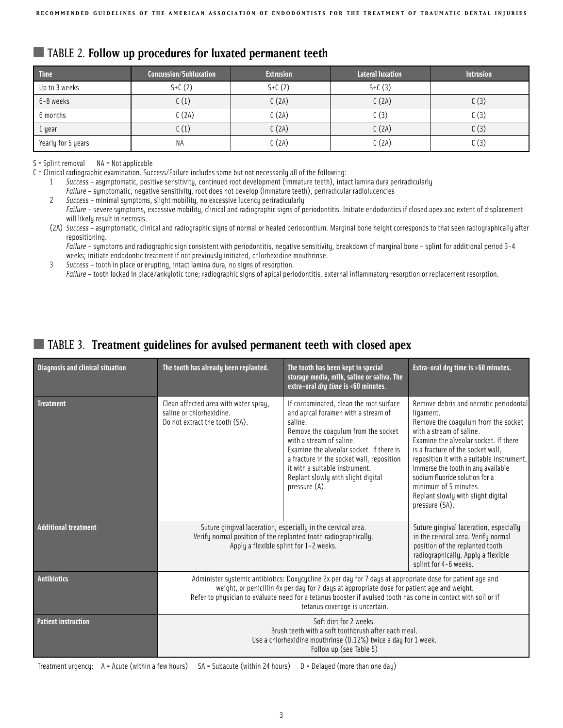|  |  |  |  |  | TABLE 2. Follow up procedures for luxated permanent teeth |
|--|--|--|--|--|-----------------------------------------------------------|
|--|--|--|--|--|-----------------------------------------------------------|

| <b>Time</b>        | <b>Concussion/Subluxation</b> | <b>Extrusion</b> | Lateral luxation | <b>Intrusion</b> |
|--------------------|-------------------------------|------------------|------------------|------------------|
| Up to 3 weeks      | $S + C(2)$                    | $S+C(2)$         | $S + C(3)$       |                  |
| 6-8 weeks          | C(1)                          | C(2A)            | C(2A)            | C(3)             |
| 6 months           | C(2A)                         | C(2A)            | C(3)             | C(3)             |
| 1 year             | C(1)                          | C(2A)            | C(2A)            | C(3)             |
| Yearly for 5 years | ΝA                            | C(2A)            | C(2A)            | C(3)             |

S = Splint removal NA = Not applicable

C = Clinical radiographic examination. Success/Failure includes some but not necessarily all of the following:

1 *Success* – asymptomatic, positive sensitivity, continued root development (immature teeth), intact lamina dura periradicularly

*Failure* – symptomatic, negative sensitivity, root does not develop (immature teeth), periradicular radiolucencies

2 *Success* – minimal symptoms, slight mobility, no excessive lucency periradicularly Failure – severe symptoms, excessive mobility, clinical and radiographic signs of periodontitis. Initiate endodontics if closed apex and extent of displacement will likely result in necrosis.

(2A) *Success* – asymptomatic, clinical and radiographic signs of normal or healed periodontium. Marginal bone height corresponds to that seen radiographically after repositioning.

*Failure* – symptoms and radiographic sign consistent with periodontitis, negative sensitivity, breakdown of marginal bone – splint for additional period 3-4 weeks; initiate endodontic treatment if not previously initiated, chlorhexidine mouthrinse.

3 *Success* – tooth in place or erupting, intact lamina dura, no signs of resorption.

*Failure* – tooth locked in place/ankylotic tone; radiographic signs of apical periodontitis, external inflammatory resorption or replacement resorption.

## ■ TABLE 3. Treatment guidelines for avulsed permanent teeth with closed apex

| <b>Diagnosis and clinical situation</b> | The tooth has already been replanted.<br>The tooth has been kept in special<br>storage media, milk, saline or saliva. The<br>extra-oral dry time is <60 minutes.                                                                                                                                                                                              |                                                                                                                                                                                                                                                                                                                                                | Extra-oral dry time is >60 minutes.                                                                                                                                                                                                                                                                                                                                                                        |
|-----------------------------------------|---------------------------------------------------------------------------------------------------------------------------------------------------------------------------------------------------------------------------------------------------------------------------------------------------------------------------------------------------------------|------------------------------------------------------------------------------------------------------------------------------------------------------------------------------------------------------------------------------------------------------------------------------------------------------------------------------------------------|------------------------------------------------------------------------------------------------------------------------------------------------------------------------------------------------------------------------------------------------------------------------------------------------------------------------------------------------------------------------------------------------------------|
| <b>Treatment</b>                        | Clean affected area with water spray,<br>saline or chlorhexidine.<br>Do not extract the tooth (SA).                                                                                                                                                                                                                                                           | If contaminated, clean the root surface<br>and apical foramen with a stream of<br>saline.<br>Remove the coagulum from the socket<br>with a stream of saline.<br>Examine the alveolar socket. If there is<br>a fracture in the socket wall, reposition<br>it with a suitable instrument.<br>Replant slowly with slight digital<br>pressure (A). | Remove debris and necrotic periodontal<br>ligament.<br>Remove the coagulum from the socket<br>with a stream of saline.<br>Examine the alveolar socket. If there<br>is a fracture of the socket wall.<br>reposition it with a suitable instrument.<br>Immerse the tooth in any available<br>sodium fluoride solution for a<br>minimum of 5 minutes.<br>Replant slowly with slight digital<br>pressure (SA). |
| <b>Additional treatment</b>             | Suture gingival laceration, especially in the cervical area.<br>Verify normal position of the replanted tooth radiographically.<br>Apply a flexible splint for 1-2 weeks.                                                                                                                                                                                     |                                                                                                                                                                                                                                                                                                                                                | Suture gingival laceration, especially<br>in the cervical area. Verify normal<br>position of the replanted tooth<br>radiographically. Apply a flexible<br>splint for 4-6 weeks.                                                                                                                                                                                                                            |
| <b>Antibiotics</b>                      | Administer systemic antibiotics: Doxycycline 2x per day for 7 days at appropriate dose for patient age and<br>weight, or penicillin 4x per day for 7 days at appropriate dose for patient age and weight.<br>Refer to physician to evaluate need for a tetanus booster if avulsed tooth has come in contact with soil or if<br>tetanus coverage is uncertain. |                                                                                                                                                                                                                                                                                                                                                |                                                                                                                                                                                                                                                                                                                                                                                                            |
| <b>Patient instruction</b>              | Soft diet for 2 weeks.<br>Brush teeth with a soft toothbrush after each meal.<br>Use a chlorhexidine mouthrinse (0.12%) twice a day for 1 week.<br>Follow up (see Table 5)                                                                                                                                                                                    |                                                                                                                                                                                                                                                                                                                                                |                                                                                                                                                                                                                                                                                                                                                                                                            |

Treatment urgency: A = Acute (within a few hours) SA = Subacute (within 24 hours) D = Delayed (more than one day)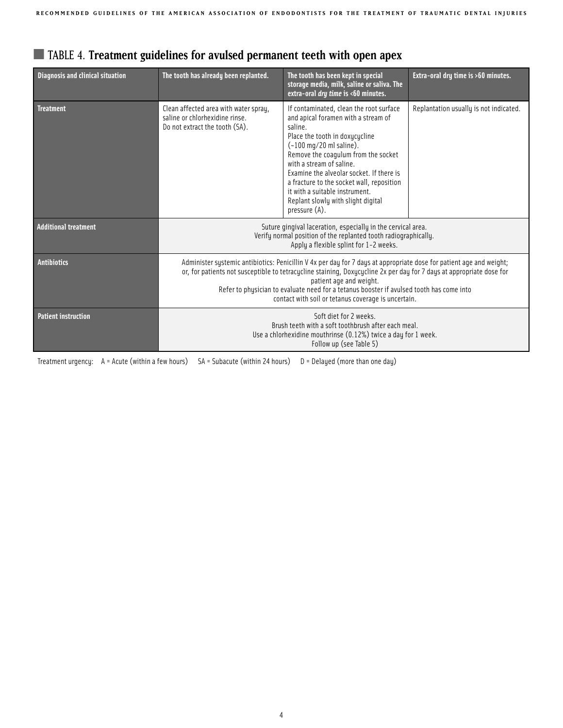| a lable 4. Treatment guidelines for avuised permanent teeth with open apex |                                                                                                                                                                           |                                                                                                                                                                                                                                                                                                                                                                                                                               |                                        |  |  |
|----------------------------------------------------------------------------|---------------------------------------------------------------------------------------------------------------------------------------------------------------------------|-------------------------------------------------------------------------------------------------------------------------------------------------------------------------------------------------------------------------------------------------------------------------------------------------------------------------------------------------------------------------------------------------------------------------------|----------------------------------------|--|--|
| <b>Diagnosis and clinical situation</b>                                    | The tooth has already been replanted.                                                                                                                                     | The tooth has been kept in special<br>storage media, milk, saline or saliva. The<br>extra-oral dry time is <60 minutes.                                                                                                                                                                                                                                                                                                       | Extra-oral dry time is >60 minutes.    |  |  |
| <b>Treatment</b>                                                           | Clean affected area with water spray,<br>saline or chlorhexidine rinse.<br>Do not extract the tooth (SA).                                                                 | If contaminated, clean the root surface<br>and apical foramen with a stream of<br>saline.<br>Place the tooth in doxucucline<br>$(-100 \text{ mg}/20 \text{ ml}$ saline).<br>Remove the coagulum from the socket<br>with a stream of saline.<br>Examine the alveolar socket. If there is<br>a fracture to the socket wall, reposition<br>it with a suitable instrument.<br>Replant slowly with slight digital<br>pressure (A). | Replantation usually is not indicated. |  |  |
| <b>Additional treatment</b>                                                | Suture gingival laceration, especially in the cervical area.<br>Verify normal position of the replanted tooth radiographically.<br>Apply a flexible splint for 1-2 weeks. |                                                                                                                                                                                                                                                                                                                                                                                                                               |                                        |  |  |

**Antibiotics Administer systemic antibiotics: Penicillin V** 4x per day for 7 days at appropriate dose for patient age and weight;

or, for patients not susceptible to tetracycline staining, Doxycycline 2x per day for 7 days at appropriate dose for patient age and weight. Refer to physician to evaluate need for a tetanus booster if avulsed tooth has come into contact with soil or tetanus coverage is uncertain.

> Brush teeth with a soft toothbrush after each meal. Use a chlorhexidine mouthrinse (0.12%) twice a day for 1 week. Follow up (see Table 5)

## ■ TABLE 4. **Treatment guidelines for avulsed permanent teeth with open apex**

Treatment urgency: A = Acute (within a few hours) SA = Subacute (within 24 hours) D = Delayed (more than one day)

**Patient instruction** Soft diet for 2 weeks.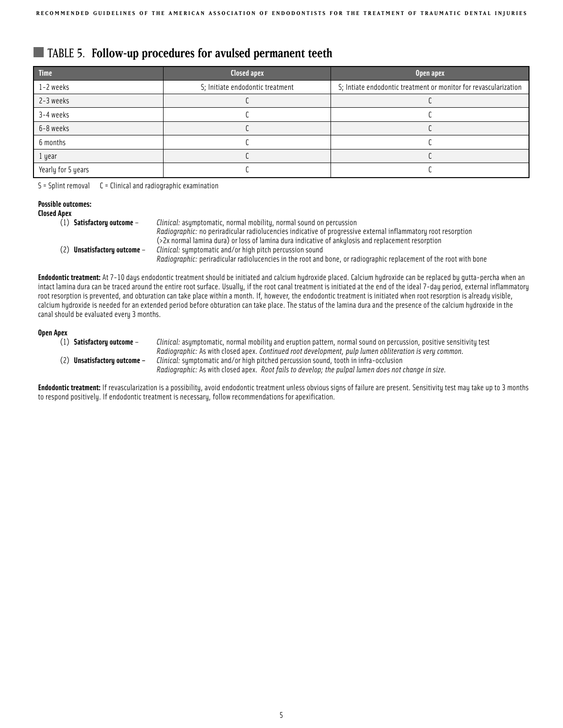## ■ TABLE 5. **Follow-up procedures for avulsed permanent teeth**

| Time               | Closed apex                      | Open apex                                                        |
|--------------------|----------------------------------|------------------------------------------------------------------|
| 1-2 weeks          | S; Initiate endodontic treatment | S; Intiate endodontic treatment or monitor for revascularization |
| 2-3 weeks          |                                  |                                                                  |
| 3-4 weeks          |                                  |                                                                  |
| 6-8 weeks          |                                  |                                                                  |
| 6 months           |                                  |                                                                  |
| 1 year             |                                  |                                                                  |
| Yearly for 5 years |                                  |                                                                  |

S = Splint removal C = Clinical and radiographic examination

#### **Possible outcomes: Close**

| ed Apex |                                |                                                                                                                           |
|---------|--------------------------------|---------------------------------------------------------------------------------------------------------------------------|
|         | $(1)$ Satisfactory outcome –   | Clinical: asymptomatic, normal mobility, normal sound on percussion                                                       |
|         |                                | <i>Radiographic:</i> no periradicular radiolucencies indicative of progressive external inflammatory root resorption      |
|         |                                | (>2x normal lamina dura) or loss of lamina dura indicative of ankylosis and replacement resorption                        |
|         | $(2)$ Unsatisfactory outcome - | <i>Clinical:</i> sumptomatic and/or high pitch percussion sound                                                           |
|         |                                | <i>Radiographic:</i> periradicular radiolucencies in the root and bone, or radiographic replacement of the root with bone |

Endodontic treatment: At 7-10 days endodontic treatment should be initiated and calcium hydroxide placed. Calcium hydroxide can be replaced by gutta-percha when an intact lamina dura can be traced around the entire root surface. Usually, if the root canal treatment is initiated at the end of the ideal 7-day period, external inflammatory root resorption is prevented, and obturation can take place within a month. If, however, the endodontic treatment is initiated when root resorption is already visible, calcium hydroxide is needed for an extended period before obturation can take place. The status of the lamina dura and the presence of the calcium hydroxide in the canal should be evaluated every 3 months.

### **Open Apex**

(1) **Satisfactory outcome** – *Clinical:* asymptomatic, normal mobility and eruption pattern, normal sound on percussion, positive sensitivity test *Radiographic:* As with closed apex. *Continued root development, pulp lumen obliteration is very common.* (2) **Unsatisfactory outcome –** *Clinical:* symptomatic and/or high pitched percussion sound, tooth in infra-occlusion *Radiographic:* As with closed apex. *Root fails to develop; the pulpal lumen does not change in size.*

**Endodontic treatment:** If revascularization is a possibility, avoid endodontic treatment unless obvious signs of failure are present. Sensitivity test may take up to 3 months to respond positively. If endodontic treatment is necessary, follow recommendations for apexification.